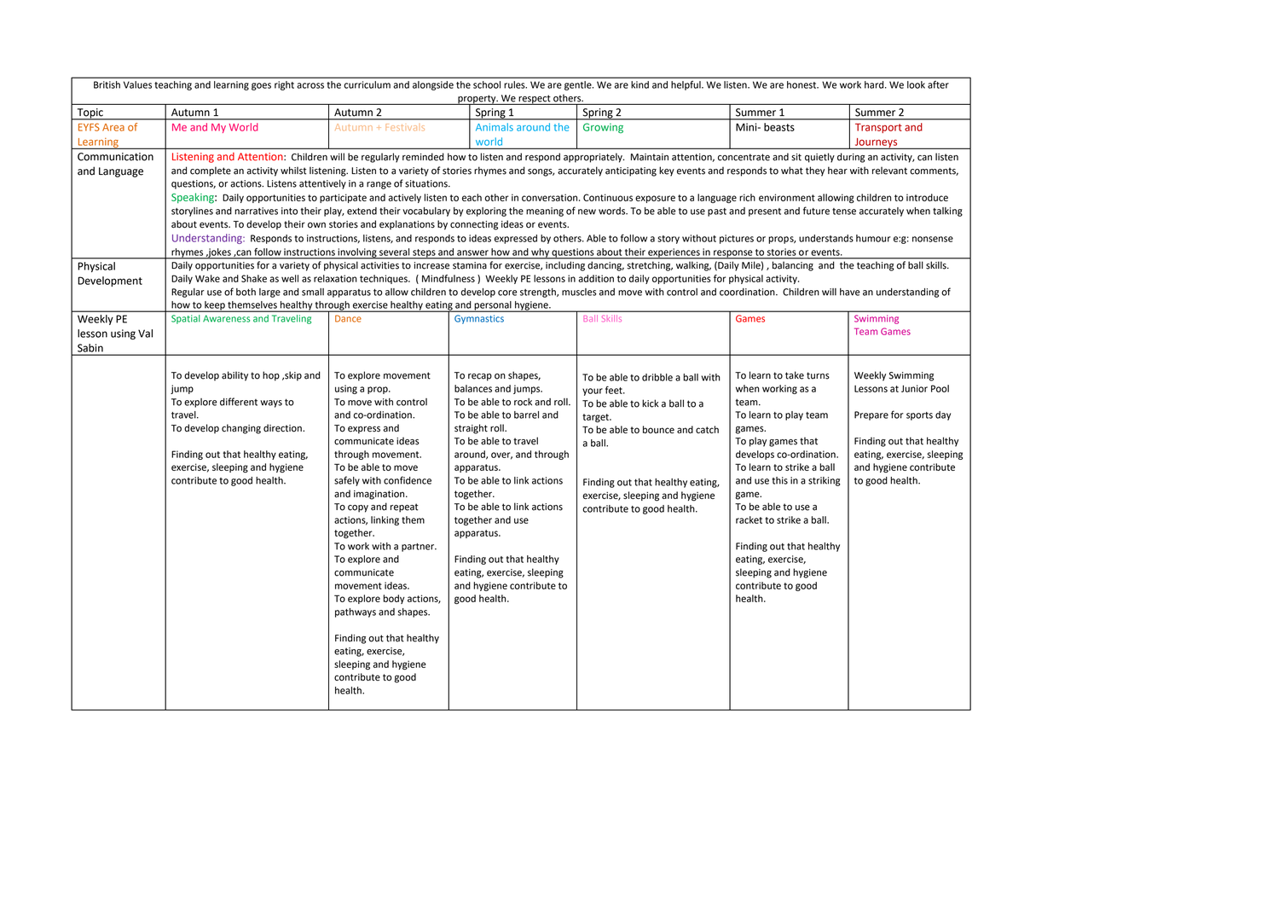| British Values teaching and learning goes right across the curriculum and alongside the school rules. We are gentle. We are kind and helpful. We listen. We are honest. We work hard. We look after<br>property. We respect others. |                                                                                                                                                                                                                                                                                                                                              |                           |                                           |                                   |                            |                            |  |  |
|-------------------------------------------------------------------------------------------------------------------------------------------------------------------------------------------------------------------------------------|----------------------------------------------------------------------------------------------------------------------------------------------------------------------------------------------------------------------------------------------------------------------------------------------------------------------------------------------|---------------------------|-------------------------------------------|-----------------------------------|----------------------------|----------------------------|--|--|
| Topic                                                                                                                                                                                                                               | Autumn 1                                                                                                                                                                                                                                                                                                                                     | Autumn 2                  | Spring 1                                  | Spring 2                          | Summer 1                   | Summer 2                   |  |  |
| <b>EYFS Area of</b>                                                                                                                                                                                                                 | Me and My World                                                                                                                                                                                                                                                                                                                              | <b>Autumn + Festivals</b> | Animals around the                        | Growing                           | Mini-beasts                | <b>Transport and</b>       |  |  |
| Learning                                                                                                                                                                                                                            |                                                                                                                                                                                                                                                                                                                                              |                           | world                                     |                                   |                            | Journeys                   |  |  |
| Communication                                                                                                                                                                                                                       | Listening and Attention: Children will be regularly reminded how to listen and respond appropriately. Maintain attention, concentrate and sit quietly during an activity, can listen                                                                                                                                                         |                           |                                           |                                   |                            |                            |  |  |
| and Language                                                                                                                                                                                                                        | and complete an activity whilst listening. Listen to a variety of stories rhymes and songs, accurately anticipating key events and responds to what they hear with relevant comments,                                                                                                                                                        |                           |                                           |                                   |                            |                            |  |  |
|                                                                                                                                                                                                                                     |                                                                                                                                                                                                                                                                                                                                              |                           |                                           |                                   |                            |                            |  |  |
|                                                                                                                                                                                                                                     | questions, or actions. Listens attentively in a range of situations.<br>Speaking: Daily opportunities to participate and actively listen to each other in conversation. Continuous exposure to a language rich environment allowing children to introduce                                                                                    |                           |                                           |                                   |                            |                            |  |  |
|                                                                                                                                                                                                                                     | storylines and narratives into their play, extend their vocabulary by exploring the meaning of new words. To be able to use past and present and future tense accurately when talking                                                                                                                                                        |                           |                                           |                                   |                            |                            |  |  |
|                                                                                                                                                                                                                                     | about events. To develop their own stories and explanations by connecting ideas or events.                                                                                                                                                                                                                                                   |                           |                                           |                                   |                            |                            |  |  |
|                                                                                                                                                                                                                                     |                                                                                                                                                                                                                                                                                                                                              |                           |                                           |                                   |                            |                            |  |  |
|                                                                                                                                                                                                                                     | Understanding: Responds to instructions, listens, and responds to ideas expressed by others. Able to follow a story without pictures or props, understands humour e:g: nonsense<br>rhymes ,jokes ,can follow instructions involving several steps and answer how and why questions about their experiences in response to stories or events. |                           |                                           |                                   |                            |                            |  |  |
| Physical                                                                                                                                                                                                                            | Daily opportunities for a variety of physical activities to increase stamina for exercise, including dancing, stretching, walking, (Daily Mile), balancing and the teaching of ball skills.                                                                                                                                                  |                           |                                           |                                   |                            |                            |  |  |
| Development                                                                                                                                                                                                                         | Daily Wake and Shake as well as relaxation techniques. (Mindfulness) Weekly PE lessons in addition to daily opportunities for physical activity.                                                                                                                                                                                             |                           |                                           |                                   |                            |                            |  |  |
|                                                                                                                                                                                                                                     | Regular use of both large and small apparatus to allow children to develop core strength, muscles and move with control and coordination. Children will have an understanding of                                                                                                                                                             |                           |                                           |                                   |                            |                            |  |  |
|                                                                                                                                                                                                                                     | how to keep themselves healthy through exercise healthy eating and personal hygiene.                                                                                                                                                                                                                                                         |                           |                                           |                                   |                            |                            |  |  |
| Weekly PE                                                                                                                                                                                                                           | <b>Spatial Awareness and Traveling</b>                                                                                                                                                                                                                                                                                                       | Dance                     | <b>Gymnastics</b>                         | <b>Ball Skills</b>                | Games                      | Swimming                   |  |  |
| lesson using Val                                                                                                                                                                                                                    |                                                                                                                                                                                                                                                                                                                                              |                           |                                           |                                   |                            | <b>Team Games</b>          |  |  |
| Sabin                                                                                                                                                                                                                               |                                                                                                                                                                                                                                                                                                                                              |                           |                                           |                                   |                            |                            |  |  |
|                                                                                                                                                                                                                                     |                                                                                                                                                                                                                                                                                                                                              |                           |                                           |                                   |                            |                            |  |  |
|                                                                                                                                                                                                                                     | To develop ability to hop, skip and                                                                                                                                                                                                                                                                                                          | To explore movement       | To recap on shapes,                       | To be able to dribble a ball with | To learn to take turns     | <b>Weekly Swimming</b>     |  |  |
|                                                                                                                                                                                                                                     | jump                                                                                                                                                                                                                                                                                                                                         | using a prop.             | balances and jumps.                       | your feet.                        | when working as a          | Lessons at Junior Pool     |  |  |
|                                                                                                                                                                                                                                     | To explore different ways to                                                                                                                                                                                                                                                                                                                 | To move with control      | To be able to rock and roll.              | To be able to kick a ball to a    | team.                      |                            |  |  |
|                                                                                                                                                                                                                                     | travel.                                                                                                                                                                                                                                                                                                                                      | and co-ordination.        | To be able to barrel and                  | target.                           | To learn to play team      | Prepare for sports day     |  |  |
|                                                                                                                                                                                                                                     | To develop changing direction.                                                                                                                                                                                                                                                                                                               | To express and            | straight roll.                            | To be able to bounce and catch    | games.                     |                            |  |  |
|                                                                                                                                                                                                                                     |                                                                                                                                                                                                                                                                                                                                              | communicate ideas         | To be able to travel                      | a ball.                           | To play games that         | Finding out that healthy   |  |  |
|                                                                                                                                                                                                                                     | Finding out that healthy eating,                                                                                                                                                                                                                                                                                                             | through movement.         | around, over, and through                 |                                   | develops co-ordination.    | eating, exercise, sleeping |  |  |
|                                                                                                                                                                                                                                     | exercise, sleeping and hygiene                                                                                                                                                                                                                                                                                                               | To be able to move        | apparatus.                                |                                   | To learn to strike a ball  | and hygiene contribute     |  |  |
|                                                                                                                                                                                                                                     | contribute to good health.                                                                                                                                                                                                                                                                                                                   | safely with confidence    | To be able to link actions                | Finding out that healthy eating,  | and use this in a striking | to good health.            |  |  |
|                                                                                                                                                                                                                                     |                                                                                                                                                                                                                                                                                                                                              | and imagination.          | together.                                 | exercise, sleeping and hygiene    | game.                      |                            |  |  |
|                                                                                                                                                                                                                                     |                                                                                                                                                                                                                                                                                                                                              | To copy and repeat        | To be able to link actions                | contribute to good health.        | To be able to use a        |                            |  |  |
|                                                                                                                                                                                                                                     |                                                                                                                                                                                                                                                                                                                                              | actions, linking them     | together and use                          |                                   | racket to strike a ball.   |                            |  |  |
|                                                                                                                                                                                                                                     |                                                                                                                                                                                                                                                                                                                                              | together.                 | apparatus.                                |                                   |                            |                            |  |  |
|                                                                                                                                                                                                                                     |                                                                                                                                                                                                                                                                                                                                              | To work with a partner.   |                                           |                                   | Finding out that healthy   |                            |  |  |
|                                                                                                                                                                                                                                     |                                                                                                                                                                                                                                                                                                                                              | To explore and            | Finding out that healthy                  |                                   | eating, exercise,          |                            |  |  |
|                                                                                                                                                                                                                                     |                                                                                                                                                                                                                                                                                                                                              | communicate               | eating, exercise, sleeping                |                                   | sleeping and hygiene       |                            |  |  |
|                                                                                                                                                                                                                                     |                                                                                                                                                                                                                                                                                                                                              | movement ideas.           | and hygiene contribute to<br>good health. |                                   | contribute to good         |                            |  |  |
|                                                                                                                                                                                                                                     |                                                                                                                                                                                                                                                                                                                                              | To explore body actions,  |                                           |                                   | health.                    |                            |  |  |
|                                                                                                                                                                                                                                     |                                                                                                                                                                                                                                                                                                                                              | pathways and shapes.      |                                           |                                   |                            |                            |  |  |
|                                                                                                                                                                                                                                     |                                                                                                                                                                                                                                                                                                                                              | Finding out that healthy  |                                           |                                   |                            |                            |  |  |
|                                                                                                                                                                                                                                     |                                                                                                                                                                                                                                                                                                                                              | eating, exercise,         |                                           |                                   |                            |                            |  |  |
|                                                                                                                                                                                                                                     |                                                                                                                                                                                                                                                                                                                                              | sleeping and hygiene      |                                           |                                   |                            |                            |  |  |
|                                                                                                                                                                                                                                     |                                                                                                                                                                                                                                                                                                                                              | contribute to good        |                                           |                                   |                            |                            |  |  |
|                                                                                                                                                                                                                                     |                                                                                                                                                                                                                                                                                                                                              | health.                   |                                           |                                   |                            |                            |  |  |
|                                                                                                                                                                                                                                     |                                                                                                                                                                                                                                                                                                                                              |                           |                                           |                                   |                            |                            |  |  |

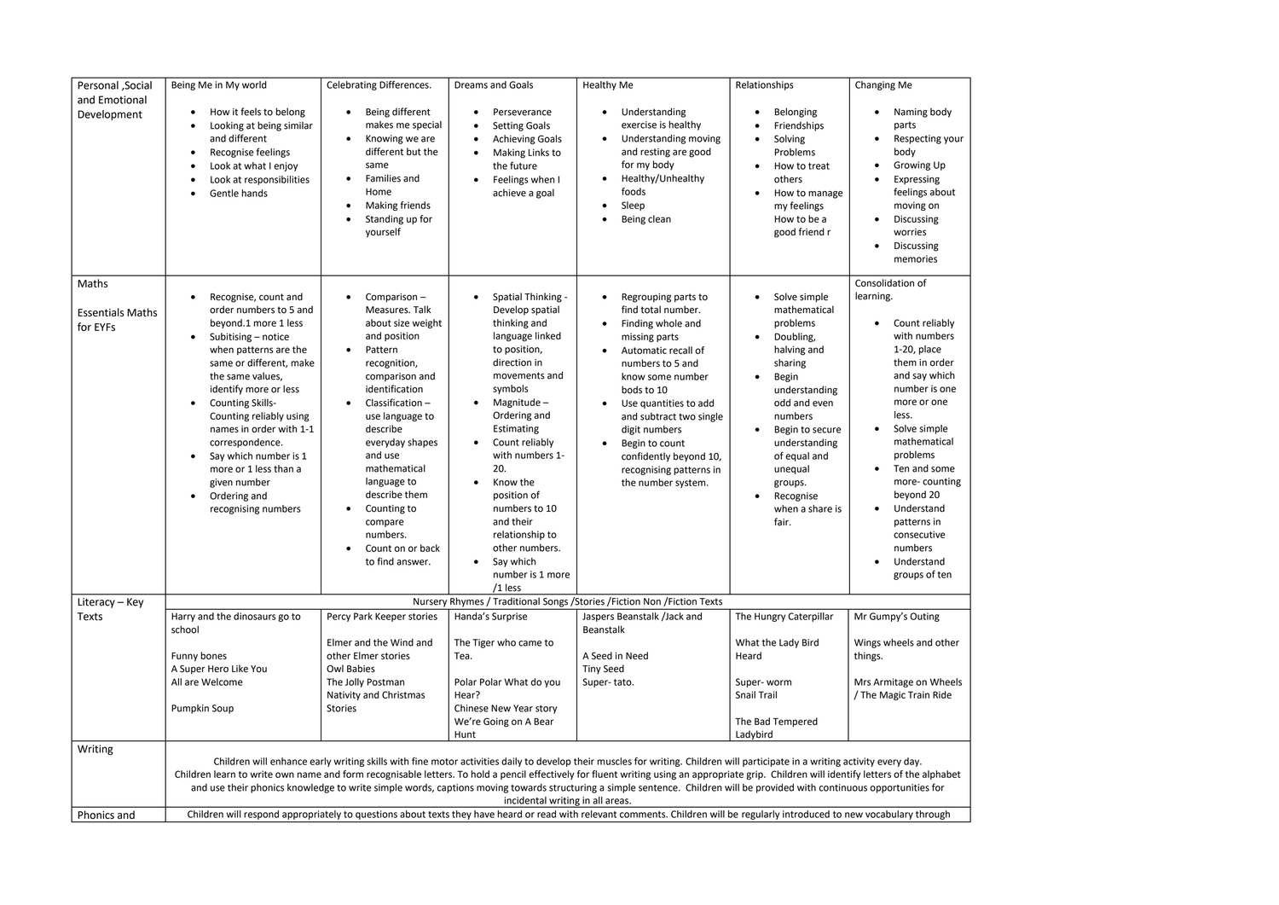| Personal , Social                            | Being Me in My world                                                                                                                                                                                                                                                                                                                                                                                                                                                                                                                                                                                                                                                                                                                                                       | Celebrating Differences.                                                                                                                                                                                                                                                                                                                                                              | Dreams and Goals                                                                                                                                                                                                                                                                                                                                                         | <b>Healthy Me</b>                                                                                                                                                                                                                                                                                                                           | Relationships                                                                                                                                                                                                                                                                                               | Changing Me                                                                                                                                                                                                                                                                                                                                                            |  |
|----------------------------------------------|----------------------------------------------------------------------------------------------------------------------------------------------------------------------------------------------------------------------------------------------------------------------------------------------------------------------------------------------------------------------------------------------------------------------------------------------------------------------------------------------------------------------------------------------------------------------------------------------------------------------------------------------------------------------------------------------------------------------------------------------------------------------------|---------------------------------------------------------------------------------------------------------------------------------------------------------------------------------------------------------------------------------------------------------------------------------------------------------------------------------------------------------------------------------------|--------------------------------------------------------------------------------------------------------------------------------------------------------------------------------------------------------------------------------------------------------------------------------------------------------------------------------------------------------------------------|---------------------------------------------------------------------------------------------------------------------------------------------------------------------------------------------------------------------------------------------------------------------------------------------------------------------------------------------|-------------------------------------------------------------------------------------------------------------------------------------------------------------------------------------------------------------------------------------------------------------------------------------------------------------|------------------------------------------------------------------------------------------------------------------------------------------------------------------------------------------------------------------------------------------------------------------------------------------------------------------------------------------------------------------------|--|
| and Emotional<br>Development                 | How it feels to belong<br>Looking at being similar<br>٠<br>and different<br>Recognise feelings<br>$\bullet$<br>Look at what I enjoy<br>Look at responsibilities<br>Gentle hands                                                                                                                                                                                                                                                                                                                                                                                                                                                                                                                                                                                            | Being different<br>makes me special<br>Knowing we are<br>$\bullet$<br>different but the<br>same<br>Families and<br>Home<br>Making friends<br>Standing up for<br>yourself                                                                                                                                                                                                              | Perseverance<br><b>Setting Goals</b><br><b>Achieving Goals</b><br>Making Links to<br>the future<br>Feelings when I<br>achieve a goal                                                                                                                                                                                                                                     | Understanding<br>$\bullet$<br>exercise is healthy<br>Understanding moving<br>$\bullet$<br>and resting are good<br>for my body<br>Healthy/Unhealthy<br>foods<br>Sleep<br>Being clean                                                                                                                                                         | Belonging<br>$\bullet$<br>Friendships<br>Solving<br>$\bullet$<br>Problems<br>How to treat<br>others<br>How to manage<br>$\bullet$<br>my feelings<br>How to be a<br>good friend r                                                                                                                            | Naming body<br>$\bullet$<br>parts<br>Respecting your<br>body<br><b>Growing Up</b><br>Expressing<br>feelings about<br>moving on<br><b>Discussing</b><br>$\bullet$<br>worries<br>Discussing<br>memories                                                                                                                                                                  |  |
| Maths<br><b>Essentials Maths</b><br>for EYFs | Recognise, count and<br>order numbers to 5 and<br>beyond.1 more 1 less<br>Subitising - notice<br>$\bullet$<br>when patterns are the<br>same or different, make<br>the same values,<br>identify more or less<br><b>Counting Skills-</b><br>$\bullet$<br>Counting reliably using<br>names in order with 1-1<br>correspondence.<br>Say which number is 1<br>$\bullet$<br>more or 1 less than a<br>given number<br>Ordering and<br>$\bullet$<br>recognising numbers                                                                                                                                                                                                                                                                                                            | Comparison-<br>$\bullet$<br>Measures. Talk<br>about size weight<br>and position<br>Pattern<br>$\bullet$<br>recognition,<br>comparison and<br>identification<br>Classification-<br>$\bullet$<br>use language to<br>describe<br>everyday shapes<br>and use<br>mathematical<br>language to<br>describe them<br>Counting to<br>compare<br>numbers.<br>Count on or back<br>to find answer. | Spatial Thinking -<br>Develop spatial<br>thinking and<br>language linked<br>to position,<br>direction in<br>movements and<br>symbols<br>Magnitude-<br>Ordering and<br>Estimating<br>Count reliably<br>with numbers 1-<br>20.<br>Know the<br>position of<br>numbers to 10<br>and their<br>relationship to<br>other numbers.<br>Say which<br>$\bullet$<br>number is 1 more | Regrouping parts to<br>find total number.<br>Finding whole and<br>missing parts<br>Automatic recall of<br>numbers to 5 and<br>know some number<br>bods to 10<br>Use quantities to add<br>and subtract two single<br>digit numbers<br>Begin to count<br>$\bullet$<br>confidently beyond 10,<br>recognising patterns in<br>the number system. | Solve simple<br>$\bullet$<br>mathematical<br>problems<br>Doubling,<br>$\bullet$<br>halving and<br>sharing<br>Begin<br>$\bullet$<br>understanding<br>odd and even<br>numbers<br>Begin to secure<br>understanding<br>of equal and<br>unequal<br>groups.<br>Recognise<br>$\bullet$<br>when a share is<br>fair. | Consolidation of<br>learning.<br>Count reliably<br>with numbers<br>$1-20$ , place<br>them in order<br>and say which<br>number is one<br>more or one<br>less.<br>Solve simple<br>mathematical<br>problems<br>Ten and some<br>more-counting<br>beyond 20<br>Understand<br>$\bullet$<br>patterns in<br>consecutive<br>numbers<br>Understand<br>$\bullet$<br>groups of ten |  |
| Literacy - Key                               | $/1$ less<br>Nursery Rhymes / Traditional Songs / Stories / Fiction Non / Fiction Texts                                                                                                                                                                                                                                                                                                                                                                                                                                                                                                                                                                                                                                                                                    |                                                                                                                                                                                                                                                                                                                                                                                       |                                                                                                                                                                                                                                                                                                                                                                          |                                                                                                                                                                                                                                                                                                                                             |                                                                                                                                                                                                                                                                                                             |                                                                                                                                                                                                                                                                                                                                                                        |  |
| Texts                                        | Harry and the dinosaurs go to<br>school<br>Funny bones                                                                                                                                                                                                                                                                                                                                                                                                                                                                                                                                                                                                                                                                                                                     | Percy Park Keeper stories<br>Elmer and the Wind and<br>other Elmer stories                                                                                                                                                                                                                                                                                                            | Handa's Surprise<br>The Tiger who came to<br>Tea.                                                                                                                                                                                                                                                                                                                        | Jaspers Beanstalk /Jack and<br>Beanstalk<br>A Seed in Need                                                                                                                                                                                                                                                                                  | The Hungry Caterpillar<br>What the Lady Bird<br>Heard                                                                                                                                                                                                                                                       | Mr Gumpy's Outing<br>Wings wheels and other<br>things.                                                                                                                                                                                                                                                                                                                 |  |
|                                              | A Super Hero Like You<br>All are Welcome                                                                                                                                                                                                                                                                                                                                                                                                                                                                                                                                                                                                                                                                                                                                   | Owl Babies<br>The Jolly Postman<br>Nativity and Christmas                                                                                                                                                                                                                                                                                                                             | Polar Polar What do you<br>Hear?                                                                                                                                                                                                                                                                                                                                         | <b>Tiny Seed</b><br>Super-tato.                                                                                                                                                                                                                                                                                                             | Super-worm<br><b>Snail Trail</b>                                                                                                                                                                                                                                                                            | Mrs Armitage on Wheels<br>/ The Magic Train Ride                                                                                                                                                                                                                                                                                                                       |  |
|                                              | Pumpkin Soup                                                                                                                                                                                                                                                                                                                                                                                                                                                                                                                                                                                                                                                                                                                                                               | Stories                                                                                                                                                                                                                                                                                                                                                                               | Chinese New Year story<br>We're Going on A Bear<br>Hunt                                                                                                                                                                                                                                                                                                                  |                                                                                                                                                                                                                                                                                                                                             | The Bad Tempered<br>Ladybird                                                                                                                                                                                                                                                                                |                                                                                                                                                                                                                                                                                                                                                                        |  |
| Writing<br>Phonics and                       | Children will enhance early writing skills with fine motor activities daily to develop their muscles for writing. Children will participate in a writing activity every day.<br>Children learn to write own name and form recognisable letters. To hold a pencil effectively for fluent writing using an appropriate grip. Children will identify letters of the alphabet<br>and use their phonics knowledge to write simple words, captions moving towards structuring a simple sentence. Children will be provided with continuous opportunities for<br>incidental writing in all areas.<br>Children will respond appropriately to questions about texts they have heard or read with relevant comments. Children will be regularly introduced to new vocabulary through |                                                                                                                                                                                                                                                                                                                                                                                       |                                                                                                                                                                                                                                                                                                                                                                          |                                                                                                                                                                                                                                                                                                                                             |                                                                                                                                                                                                                                                                                                             |                                                                                                                                                                                                                                                                                                                                                                        |  |